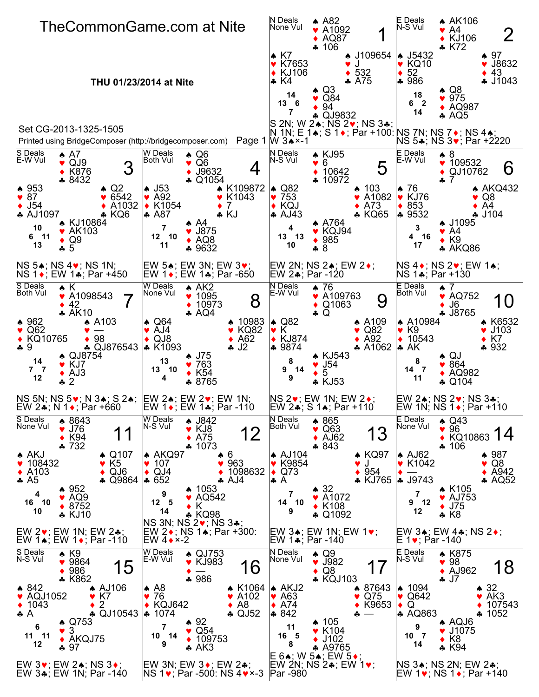